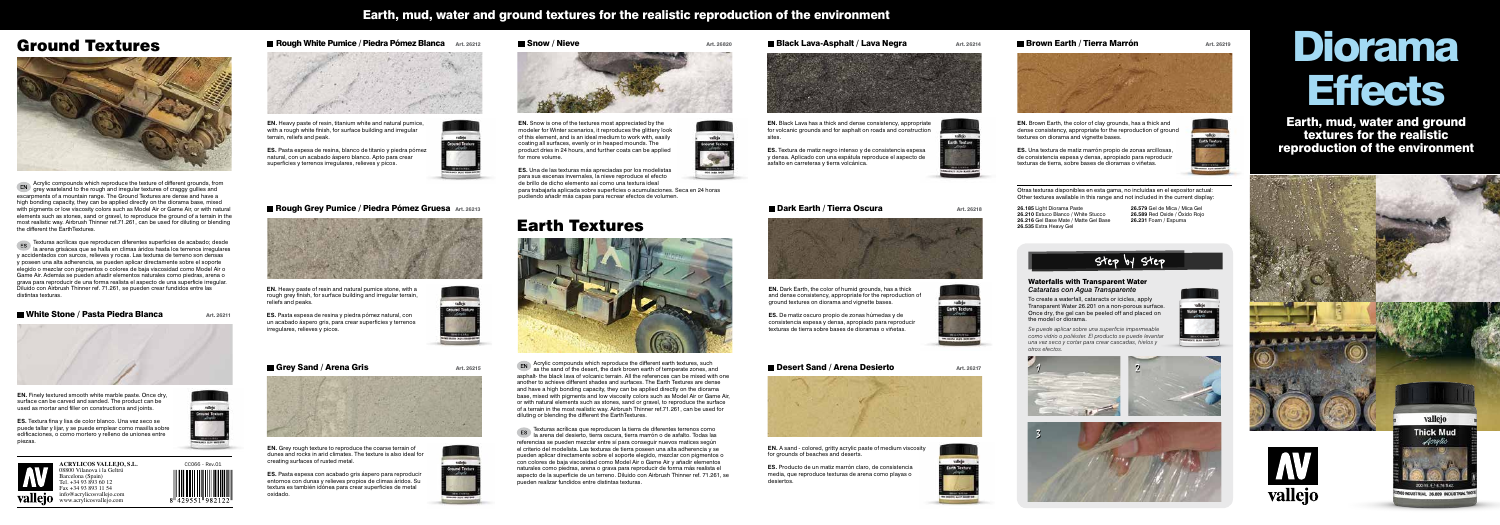

### **Rough White Pumice / Piedra Pómez Blanca** Art. 26212



Otras texturas disponibles en esta gama, no incluidas en el expositor actual: Other textures available in this range and not included in the current display:

**26.185** Light Diorama Paste **26.210** Estuco Blanco / White Stucco **26.216** Gel Base Mate / Matte Gel Base **26.535** Extra Heavy Gel

**26.579** Gel de Mica / Mica Gel **26.589** Red Oxide / Óxido Rojo **26.231** Foam / Espuma

valido

# Step by

# Ground Textures



Acrylic compounds which reproduce the texture of different grounds, from grey wasteland to the rough and irregular textures of craggy gullies and escarpments of a mountain range. The Ground Textures are dense and have a high bonding capacity, they can be applied directly on the diorama base, mixed with pigments or low viscosity colors such as Model Air or Game Air, or with natural elements such as stones, sand or gravel, to reproduce the ground of a terrain in the most realistic way. Airbrush Thinner ref.71.261, can be used for diluting or blending the different the EarthTextures.

> EN Acrylic compounds which reproduce the different earth textures, such<br>as the sand of the data in the state of the distribution of the distribution of the distribution of the distribution of the state of the distribution as the sand of the desert, the dark brown earth of temperate zones, and asphalt- the black lava of volcanic terrain. All the references can be mixed with one another to achieve different shades and surfaces. The Earth Textures are dense and have a high bonding capacity, they can be applied directly on the diorama base, mixed with pigments and low viscosity colors such as Model Air or Game Air, or with natural elements such as stones, sand or gravel, to reproduce the surface of a terrain in the most realistic way. Airbrush Thinner ref.71.261, can be used for diluting or blending the different the EarthTextures.

Texturas acrílicas que reproducen diferentes superficies de acabado; desde la arena grisácea que se halla en climas áridos hasta los terrenos irregulares y accidentados con surcos, relieves y rocas. Las texturas de terreno son densas y poseen una alta adherencia, se pueden aplicar directamente sobre el soporte elegido o mezclar con pigmentos o colores de baja viscosidad como Model Air o Game Air. Además se pueden añadir elementos naturales como piedras, arena o grava para reproducir de una forma realista el aspecto de una superficie irregular. Diluido con Airbrush Thinner ref. 71.261, se pueden crear fundidos entre las distintas texturas.

**Notair White Stone / Pasta Piedra Blanca** Art. 26211



# Diorama **Effects**

# Earth Textures



Texturas acrílicas que reproducen la tierra de diferentes terrenos como la arena del desierto, tierra oscura, tierra marrón o de asfalto. Todas las referencias se pueden mezclar entre sí para conseguir nuevos matices según el criterio del modelista. Las texturas de tierra poseen una alta adherencia y se pueden aplicar directamente sobre el soporte elegido, mezclar con pigmentos o con colores de baja viscosidad como Model Air o Game Air y añadir elementos naturales como piedras, arena o grava para reproducir de forma más realista el aspecto de la superficie de un terreno. Diluido con Airbrush Thinner ref. 71.261, se pueden realizar fundidos entre distintas texturas.

# Earth, mud, water and ground textures for the realistic reproduction of the environment

Earth, mud, water and ground textures for the realistic reproduction of the environment



## **Dark Earth / Tierra Oscura** Art. 26218



**EN.** Dark Earth, the color of humid grounds, has a thick and dense consistency, appropriate for the reproduction of ground textures on diorama and vignette bases.



**ES.** De matiz oscuro propio de zonas húmedas y de consistencia espesa y densa, apropiado para reproducir texturas de tierra sobre bases de dioramas o viñetas.



**Desert Sand / Arena Desierto** Art. 26217

**EN.** Black Lava has a thick and dense consistency, appropriate for volcanic grounds and for asphalt on roads and construction

sites.

**ES.** Textura de matiz negro intenso y de consistencia espesa y densa. Aplicado con una espátula reproduce el aspecto de asfalto en carreteras y tierra volcánica.



# $\blacksquare$  Brown Earth / Tierra Marrón  $\blacksquare$  Art. 26219

**EN.** Brown Earth, the color of clay grounds, has a thick and dense consistency, appropriate for the reproduction of ground textures on diorama and vignette bases.

**ES.** Una textura de matiz marrón propio de zonas arcillosas, de consistencia espesa y densa, apropiado para reproducir texturas de tierra, sobre bases de dioramas o viñetas.

**EN.** A sand - colored, gritty acrylic paste of medium viscosity for grounds of beaches and deserts.



**ES.** Producto de un matiz marrón claro, de consistencia media, que reproduce texturas de arena como playas o desiertos.





### **Black Lava-Asphalt / Lava Negra**  $\mu$  Art. 26214



**EN.** Finely textured smooth white marble paste. Once dry, surface can be carved and sanded. The product can be used as mortar and filler on constructions and joints.

**ES.** Textura fina y lisa de color blanco. Una vez seco se puede tallar y lijar, y se puede emplear como masilla sobre edificaciones, o como mortero y relleno de uniones entre piezas.



**ACRYLICOS VALLEJO, S.L.** 08800 Vilanova i la Geltrú Barcelona (Spain) Tel. +34 93 893 60 12 Fax +34 93 893 11 54 info@acrylicosvallejo.com **Vallejo** www.acrylicosvallejo.com

**EN.** Heavy paste of resin, titanium white and natural pumice, with a rough white finish, for surface building and irregular terrain, reliefs and peak.

**ES.** Pasta espesa de resina, blanco de titanio y piedra pómez natural, con un acabado áspero blanco. Apto para crear superficies y terrenos irregulares, relieves y picos.



#### ■ Rough Grey Pumice / Piedra Pómez Gruesa Art. 26213



**EN.** Heavy paste of resin and natural pumice stone, with a rough grey finish, for surface building and irregular terrain, reliefs and peaks.

**ES.** Pasta espesa de resina y piedra pómez natural, con un acabado áspero gris, para crear superficies y terrenos irregulares, relieves y picos.

#### Grey Sand / Arena Gris Art. 26215



**EN.** Grey rough texture to reproduce the coarse terrain of dunes and rocks in arid climates. The texture is also ideal for creating surfaces of rusted metal.

**ES.** Pasta espesa con acabado gris áspero para reproducir entornos con dunas y relieves propios de climas áridos. Su textura es también idónea para crear superficies de metal oxidado.

#### $\blacksquare$  Snow / Nieve  $\blacksquare$



**EN.** Snow is one of the textures most appreciated by the modeler for Winter scenarios, it reproduces the glittery look of this element, and is an ideal medium to work with, easily coating all surfaces, evenly or in heaped mounds. The product dries in 24 hours, and further coats can be applied for more volume.



**ES.** Una de las texturas más apreciadas por los modelistas para sus escenas invernales, la nieve reproduce el efecto de brillo de dicho elemento así como una textura ideal para trabajarla aplicada sobre superficies o acumulaciones. Seca en 24 horas pudiendo añadir más capas para recrear efectos de volumen.

#### Waterfalls with Transparent Water *Cataratas con Agua Transparente*

To create a waterfall, cataracts or icicles, apply Transparent Water 26.201 on a non-porous surface. Once dry, the gel can be peeled off and placed on the model or diorama.

*Se puede aplicar sobre una superficie impermeable como vidrio o poliéster. El producto se puede levantar una vez seco y cortar para crear cascadas, hielos y*